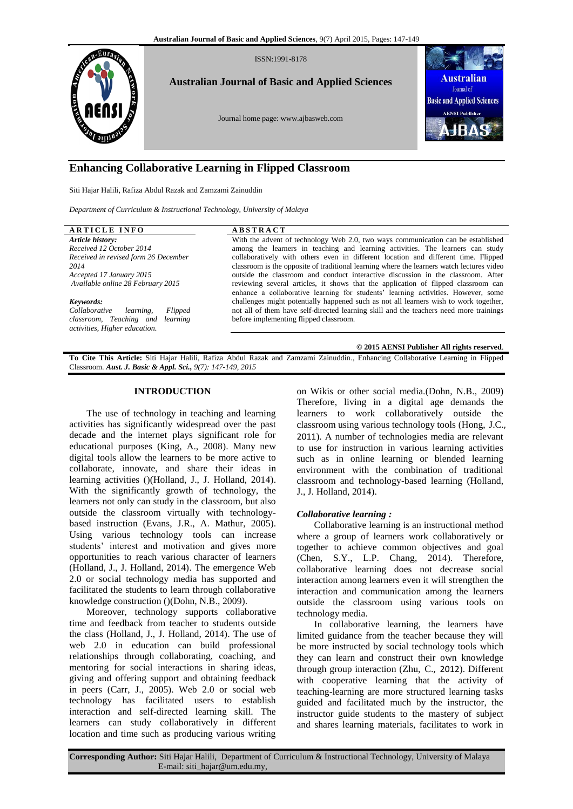

# **Enhancing Collaborative Learning in Flipped Classroom**

Siti Hajar Halili, Rafiza Abdul Razak and Zamzami Zainuddin

*Department of Curriculum & Instructional Technology, University of Malaya*

| <b>ARTICLE INFO</b>                   | <b>ABSTRACT</b>                                                                           |
|---------------------------------------|-------------------------------------------------------------------------------------------|
| Article history:                      | With the advent of technology Web 2.0, two ways communication can be established          |
| Received 12 October 2014              | among the learners in teaching and learning activities. The learners can study            |
| Received in revised form 26 December  | collaboratively with others even in different location and different time. Flipped        |
| 2014                                  | classroom is the opposite of traditional learning where the learners watch lectures video |
| Accepted 17 January 2015              | outside the classroom and conduct interactive discussion in the classroom. After          |
| Available online 28 February 2015     | reviewing several articles, it shows that the application of flipped classroom can        |
|                                       | enhance a collaborative learning for students' learning activities. However, some         |
| Keywords:                             | challenges might potentially happened such as not all learners wish to work together,     |
| Collaborative<br>Flipped<br>learning. | not all of them have self-directed learning skill and the teachers need more trainings    |
| classroom, Teaching and learning      | before implementing flipped classroom.                                                    |
| activities, Higher education.         |                                                                                           |
|                                       |                                                                                           |
|                                       | © 2015 AENSI Publisher All rights reserved.                                               |

**To Cite This Article:** Siti Hajar Halili, Rafiza Abdul Razak and Zamzami Zainuddin., Enhancing Collaborative Learning in Flipped Classroom. *Aust. J. Basic & Appl. Sci., 9(7): 147-149, 2015*

## **INTRODUCTION**

The use of technology in teaching and learning activities has significantly widespread over the past decade and the internet plays significant role for educational purposes (King, A., 2008). Many new digital tools allow the learners to be more active to collaborate, innovate, and share their ideas in learning activities ()(Holland, J., J. Holland, 2014). With the significantly growth of technology, the learners not only can study in the classroom, but also outside the classroom virtually with technologybased instruction (Evans, J.R., A. Mathur, 2005). Using various technology tools can increase students' interest and motivation and gives more opportunities to reach various character of learners (Holland, J., J. Holland, 2014). The emergence Web 2.0 or social technology media has supported and facilitated the students to learn through collaborative knowledge construction ()(Dohn, N.B., 2009).

Moreover, technology supports collaborative time and feedback from teacher to students outside the class (Holland, J., J. Holland, 2014). The use of web 2.0 in education can build professional relationships through collaborating, coaching, and mentoring for social interactions in sharing ideas, giving and offering support and obtaining feedback in peers (Carr, J., 2005). Web 2.0 or social web technology has facilitated users to establish interaction and self-directed learning skill. The learners can study collaboratively in different location and time such as producing various writing

on Wikis or other social media.(Dohn, N.B., 2009) Therefore, living in a digital age demands the learners to work collaboratively outside the classroom using various technology tools (Hong, J.C., 2011). A number of technologies media are relevant to use for instruction in various learning activities such as in online learning or blended learning environment with the combination of traditional classroom and technology-based learning (Holland, J., J. Holland, 2014).

### *Collaborative learning :*

Collaborative learning is an instructional method where a group of learners work collaboratively or together to achieve common objectives and goal (Chen, S.Y., L.P. Chang, 2014). Therefore, collaborative learning does not decrease social interaction among learners even it will strengthen the interaction and communication among the learners outside the classroom using various tools on technology media.

In collaborative learning, the learners have limited guidance from the teacher because they will be more instructed by social technology tools which they can learn and construct their own knowledge through group interaction (Zhu, C., 2012). Different with cooperative learning that the activity of teaching-learning are more structured learning tasks guided and facilitated much by the instructor, the instructor guide students to the mastery of subject and shares learning materials, facilitates to work in

**Corresponding Author:** Siti Hajar Halili, Department of Curriculum & Instructional Technology, University of Malaya E-mail: siti\_hajar@um.edu.my,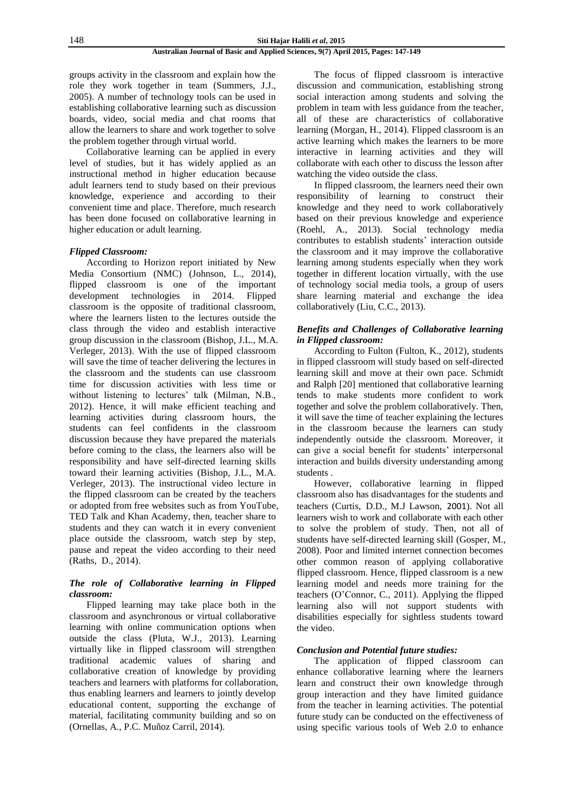148 **Siti Hajar Halili** *et al***, 2015**

#### **Australian Journal of Basic and Applied Sciences, 9(7) April 2015, Pages: 147-149**

groups activity in the classroom and explain how the role they work together in team (Summers, J.J., 2005). A number of technology tools can be used in establishing collaborative learning such as discussion boards, video, social media and chat rooms that allow the learners to share and work together to solve the problem together through virtual world.

Collaborative learning can be applied in every level of studies, but it has widely applied as an instructional method in higher education because adult learners tend to study based on their previous knowledge, experience and according to their convenient time and place. Therefore, much research has been done focused on collaborative learning in higher education or adult learning.

### *Flipped Classroom:*

According to Horizon report initiated by New Media Consortium (NMC) (Johnson, L., 2014), flipped classroom is one of the important development technologies in 2014. Flipped classroom is the opposite of traditional classroom, where the learners listen to the lectures outside the class through the video and establish interactive group discussion in the classroom (Bishop, J.L., M.A. Verleger, 2013). With the use of flipped classroom will save the time of teacher delivering the lectures in the classroom and the students can use classroom time for discussion activities with less time or without listening to lectures' talk (Milman, N.B., 2012). Hence, it will make efficient teaching and learning activities during classroom hours, the students can feel confidents in the classroom discussion because they have prepared the materials before coming to the class, the learners also will be responsibility and have self-directed learning skills toward their learning activities (Bishop, J.L., M.A. Verleger, 2013). The instructional video lecture in the flipped classroom can be created by the teachers or adopted from free websites such as from YouTube, TED Talk and Khan Academy, then, teacher share to students and they can watch it in every convenient place outside the classroom, watch step by step, pause and repeat the video according to their need (Raths, D., 2014).

### *The role of Collaborative learning in Flipped classroom:*

Flipped learning may take place both in the classroom and asynchronous or virtual collaborative learning with online communication options when outside the class (Pluta, W.J., 2013). Learning virtually like in flipped classroom will strengthen traditional academic values of sharing and collaborative creation of knowledge by providing teachers and learners with platforms for collaboration, thus enabling learners and learners to jointly develop educational content, supporting the exchange of material, facilitating community building and so on (Ornellas, A., P.C. Muñoz Carril, 2014).

The focus of flipped classroom is interactive discussion and communication, establishing strong social interaction among students and solving the problem in team with less guidance from the teacher, all of these are characteristics of collaborative learning (Morgan, H., 2014). Flipped classroom is an active learning which makes the learners to be more interactive in learning activities and they will collaborate with each other to discuss the lesson after watching the video outside the class.

In flipped classroom, the learners need their own responsibility of learning to construct their knowledge and they need to work collaboratively based on their previous knowledge and experience (Roehl, A., 2013). Social technology media contributes to establish students' interaction outside the classroom and it may improve the collaborative learning among students especially when they work together in different location virtually, with the use of technology social media tools, a group of users share learning material and exchange the idea collaboratively (Liu, C.C., 2013).

#### *Benefits and Challenges of Collaborative learning in Flipped classroom:*

According to Fulton (Fulton, K., 2012), students in flipped classroom will study based on self-directed learning skill and move at their own pace. Schmidt and Ralph [20] mentioned that collaborative learning tends to make students more confident to work together and solve the problem collaboratively. Then, it will save the time of teacher explaining the lectures in the classroom because the learners can study independently outside the classroom. Moreover, it can give a social benefit for students' interpersonal interaction and builds diversity understanding among students .

However, collaborative learning in flipped classroom also has disadvantages for the students and teachers (Curtis, D.D., M.J Lawson, 2001). Not all learners wish to work and collaborate with each other to solve the problem of study. Then, not all of students have self-directed learning skill (Gosper, M., 2008). Poor and limited internet connection becomes other common reason of applying collaborative flipped classroom. Hence, flipped classroom is a new learning model and needs more training for the teachers (O'Connor, C., 2011). Applying the flipped learning also will not support students with disabilities especially for sightless students toward the video.

#### *Conclusion and Potential future studies:*

The application of flipped classroom can enhance collaborative learning where the learners learn and construct their own knowledge through group interaction and they have limited guidance from the teacher in learning activities. The potential future study can be conducted on the effectiveness of using specific various tools of Web 2.0 to enhance